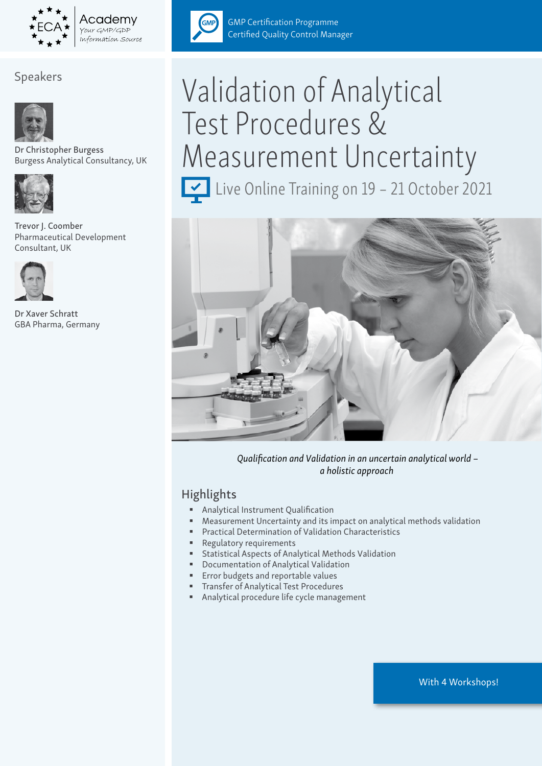

# Speakers



Dr Christopher Burgess Burgess Analytical Consultancy, UK



Trevor J. Coomber Pharmaceutical Development Consultant, UK



Dr Xaver Schratt GBA Pharma, Germany



GMP Certification Programme Certified Quality Control Manager

# Validation of Analytical Test Procedures & Measurement Uncertainty

Live Online Training on 19 - 21 October 2021



 *Qualification and Validation in an uncertain analytical world – a holistic approach*

# Highlights

- **Analytical Instrument Qualification**
- Measurement Uncertainty and its impact on analytical methods validation
- Practical Determination of Validation Characteristics
- Regulatory requirements
- Statistical Aspects of Analytical Methods Validation
- Documentation of Analytical Validation
- Error budgets and reportable values
- Transfer of Analytical Test Procedures
- Analytical procedure life cycle management

With 4 Workshops!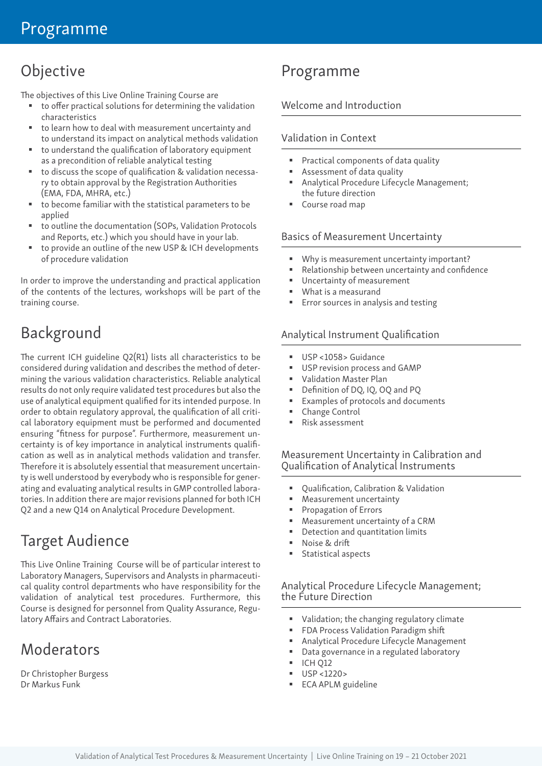# Objective

The objectives of this Live Online Training Course are

- to offer practical solutions for determining the validation characteristics
- to learn how to deal with measurement uncertainty and to understand its impact on analytical methods validation
- to understand the qualification of laboratory equipment as a precondition of reliable analytical testing
- to discuss the scope of qualification & validation necessary to obtain approval by the Registration Authorities (EMA, FDA, MHRA, etc.)
- to become familiar with the statistical parameters to be applied
- to outline the documentation (SOPs, Validation Protocols and Reports, etc.) which you should have in your lab.
- to provide an outline of the new USP & ICH developments of procedure validation

In order to improve the understanding and practical application of the contents of the lectures, workshops will be part of the training course.

# Background

The current ICH guideline Q2(R1) lists all characteristics to be considered during validation and describes the method of determining the various validation characteristics. Reliable analytical results do not only require validated test procedures but also the use of analytical equipment qualified for its intended purpose. In order to obtain regulatory approval, the qualification of all critical laboratory equipment must be performed and documented ensuring "fitness for purpose". Furthermore, measurement uncertainty is of key importance in analytical instruments qualification as well as in analytical methods validation and transfer. Therefore it is absolutely essential that measurement uncertainty is well understood by everybody who is responsible for generating and evaluating analytical results in GMP controlled laboratories. In addition there are major revisions planned for both ICH Q2 and a new Q14 on Analytical Procedure Development.

# Target Audience

This Live Online Training Course will be of particular interest to Laboratory Managers, Supervisors and Analysts in pharmaceutical quality control departments who have responsibility for the validation of analytical test procedures. Furthermore, this Course is designed for personnel from Quality Assurance, Regulatory Affairs and Contract Laboratories.

# Moderators

Dr Christopher Burgess Dr Markus Funk

# Programme

# Welcome and Introduction

### Validation in Context

- Practical components of data quality
- Assessment of data quality
- Analytical Procedure Lifecycle Management; the future direction
- Course road map

#### Basics of Measurement Uncertainty

- Why is measurement uncertainty important?
- Relationship between uncertainty and confidence
- Uncertainty of measurement
- What is a measurand
- Error sources in analysis and testing

#### Analytical Instrument Qualification

- USP <1058> Guidance
- USP revision process and GAMP
- Validation Master Plan
- Definition of DQ, IQ, OQ and PQ
- Examples of protocols and documents
- Change Control
- Risk assessment

#### Measurement Uncertainty in Calibration and Qualification of Analytical Instruments

- Qualification, Calibration & Validation
- Measurement uncertainty
- Propagation of Errors
- Measurement uncertainty of a CRM
- Detection and quantitation limits
- Noise & drift
- **Statistical aspects**

#### Analytical Procedure Lifecycle Management; the Future Direction

- Validation; the changing regulatory climate
- **FDA Process Validation Paradigm shift**
- Analytical Procedure Lifecycle Management
- Data governance in a regulated laboratory
- **ICH 012**
- $\blacksquare$  USP <1220>
- ECA APLM guideline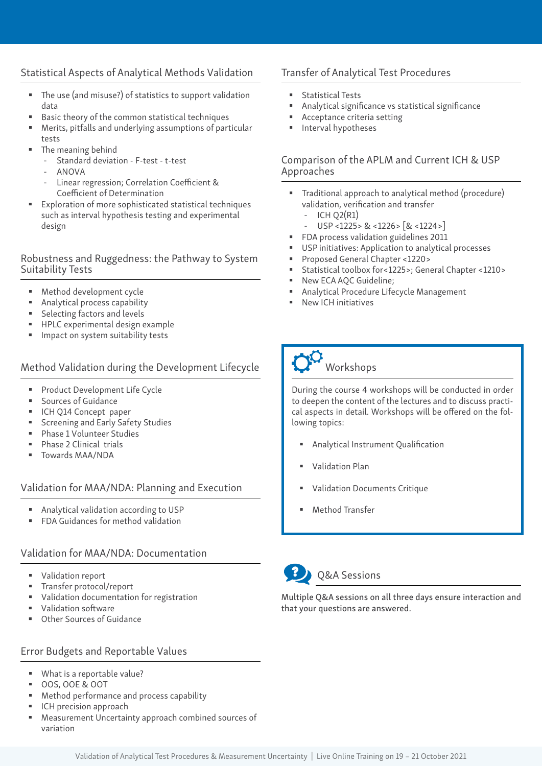### Statistical Aspects of Analytical Methods Validation

- The use (and misuse?) of statistics to support validation data
- Basic theory of the common statistical techniques
- Merits, pitfalls and underlying assumptions of particular tests
- The meaning behind
	- Standard deviation F-test t-test
	- ANOVA
	- Linear regression; Correlation Coefficient & Coefficient of Determination
- Exploration of more sophisticated statistical techniques such as interval hypothesis testing and experimental design

#### Robustness and Ruggedness: the Pathway to System Suitability Tests

- Method development cycle
- Analytical process capability
- **Selecting factors and levels**
- **HPLC** experimental design example
- Impact on system suitability tests

### Method Validation during the Development Lifecycle

- **Product Development Life Cycle**
- **Sources of Guidance**
- ICH Q14 Concept paper
- **Screening and Early Safety Studies**
- Phase 1 Volunteer Studies
- Phase 2 Clinical trials
- Towards MAA/NDA

#### Validation for MAA/NDA: Planning and Execution

- Analytical validation according to USP
- FDA Guidances for method validation

#### Validation for MAA/NDA: Documentation

- **Validation report**
- **Transfer protocol/report**
- Validation documentation for registration
- Validation software
- Other Sources of Guidance

### Error Budgets and Reportable Values

- What is a reportable value?
- OOS, OOE & OOT
- **Method performance and process capability**
- ICH precision approach
- Measurement Uncertainty approach combined sources of variation

# Transfer of Analytical Test Procedures

- Statistical Tests
- Analytical significance vs statistical significance
- Acceptance criteria setting
- Interval hypotheses

#### Comparison of the APLM and Current ICH & USP Approaches

- Traditional approach to analytical method (procedure) validation, verification and transfer
	- $-$  ICH O2(R1)
	- USP <1225> & <1226> [& <1224>]
- **FDA** process validation guidelines 2011
- USP initiatives: Application to analytical processes
- Proposed General Chapter <1220>
- Statistical toolbox for<1225>; General Chapter <1210>
- New ECA AQC Guideline;
- Analytical Procedure Lifecycle Management
- New ICH initiatives



During the course 4 workshops will be conducted in order to deepen the content of the lectures and to discuss practical aspects in detail. Workshops will be offered on the following topics:

- Analytical Instrument Qualification
- Validation Plan
- Validation Documents Critique
- Method Transfer



### Q&A Sessions

Multiple Q&A sessions on all three days ensure interaction and that your questions are answered.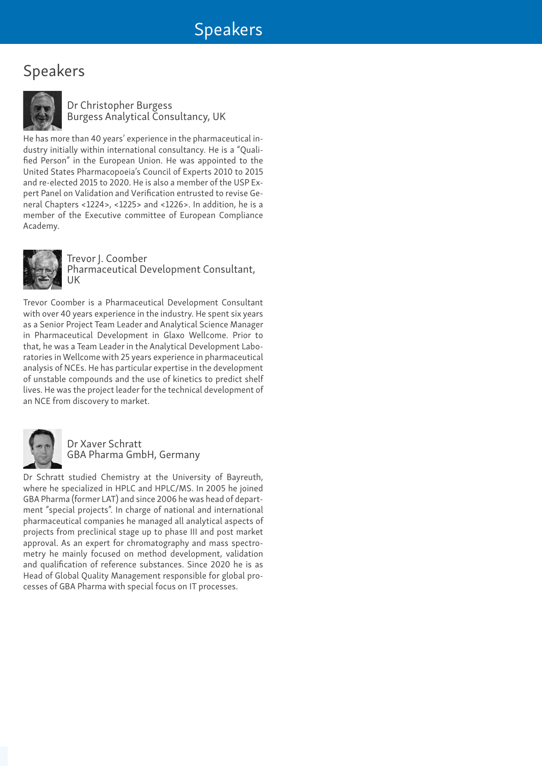# Speakers



Dr Christopher Burgess Burgess Analytical Consultancy, UK

He has more than 40 years' experience in the pharmaceutical industry initially within international consultancy. He is a "Qualified Person" in the European Union. He was appointed to the United States Pharmacopoeia's Council of Experts 2010 to 2015 and re-elected 2015 to 2020. He is also a member of the USP Expert Panel on Validation and Verification entrusted to revise General Chapters <1224>, <1225> and <1226>. In addition, he is a member of the Executive committee of European Compliance Academy.



Trevor J. Coomber Pharmaceutical Development Consultant, UK

Trevor Coomber is a Pharmaceutical Development Consultant with over 40 years experience in the industry. He spent six years as a Senior Project Team Leader and Analytical Science Manager in Pharmaceutical Development in Glaxo Wellcome. Prior to that, he was a Team Leader in the Analytical Development Laboratories in Wellcome with 25 years experience in pharmaceutical analysis of NCEs. He has particular expertise in the development of unstable compounds and the use of kinetics to predict shelf lives. He was the project leader for the technical development of an NCE from discovery to market.



Dr Xaver Schratt GBA Pharma GmbH, Germany

Dr Schratt studied Chemistry at the University of Bayreuth, where he specialized in HPLC and HPLC/MS. In 2005 he joined GBA Pharma (former LAT) and since 2006 he was head of department "special projects". In charge of national and international pharmaceutical companies he managed all analytical aspects of projects from preclinical stage up to phase III and post market approval. As an expert for chromatography and mass spectrometry he mainly focused on method development, validation and qualification of reference substances. Since 2020 he is as Head of Global Quality Management responsible for global processes of GBA Pharma with special focus on IT processes.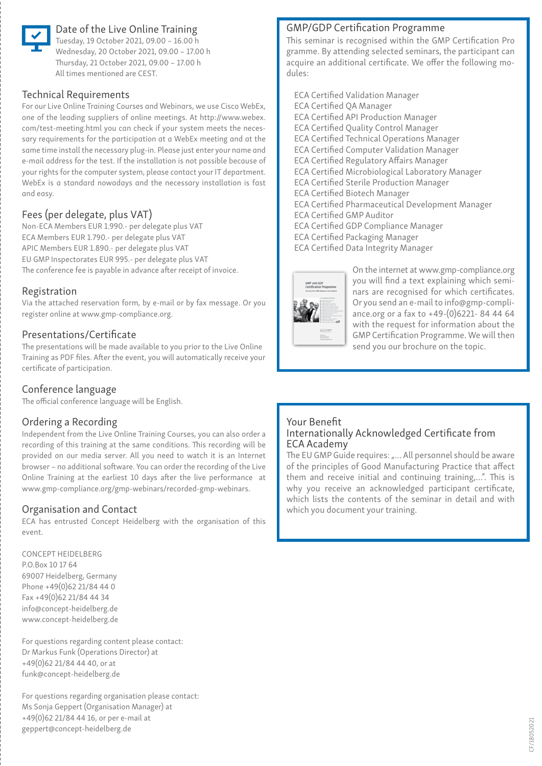

# Date of the Live Online Training

Tuesday, 19 October 2021, 09.00 – 16.00 h Wednesday, 20 October 2021, 09.00 – 17.00 h Thursday, 21 October 2021, 09.00 – 17.00 h All times mentioned are CEST.

#### Technical Requirements

For our Live Online Training Courses and Webinars, we use Cisco WebEx, one of the leading suppliers of online meetings. At http://www.webex. com/test-meeting.html you can check if your system meets the necessary requirements for the participation at a WebEx meeting and at the same time install the necessary plug-in. Please just enter your name and e-mail address for the test. If the installation is not possible because of your rights for the computer system, please contact your IT department. WebEx is a standard nowadays and the necessary installation is fast and easy.

# Fees (per delegate, plus VAT)

Non-ECA Members EUR 1.990.- per delegate plus VAT ECA Members EUR 1.790.- per delegate plus VAT APIC Members EUR 1.890.- per delegate plus VAT EU GMP Inspectorates EUR 995.- per delegate plus VAT The conference fee is payable in advance after receipt of invoice.

#### Registration

Via the attached reservation form, by e-mail or by fax message. Or you register online at www.gmp-compliance.org.

#### Presentations/Certificate

The presentations will be made available to you prior to the Live Online Training as PDF files. After the event, you will automatically receive your certificate of participation.

# Conference language

The official conference language will be English.

# Ordering a Recording

Independent from the Live Online Training Courses, you can also order a recording of this training at the same conditions. This recording will be provided on our media server. All you need to watch it is an Internet browser – no additional software. You can order the recording of the Live Online Training at the earliest 10 days after the live performance at www.gmp-compliance.org/gmp-webinars/recorded-gmp-webinars.

### Organisation and Contact

ECA has entrusted Concept Heidelberg with the organisation of this event.

CONCEPT HEIDELBERG P.O.Box 10 17 64 69007 Heidelberg, Germany Phone +49(0)62 21/84 44 0 Fax +49(0)62 21/84 44 34 info@concept-heidelberg.de www.concept-heidelberg.de

For questions regarding content please contact: Dr Markus Funk (Operations Director) at +49(0)62 21/84 44 40, or at funk@concept-heidelberg.de

For questions regarding organisation please contact: Ms Sonja Geppert (Organisation Manager) at +49(0)62 21/84 44 16, or per e-mail at geppert@concept-heidelberg.de

#### GMP/GDP Certification Programme

This seminar is recognised within the GMP Certification Pro gramme. By attending selected seminars, the participant can acquire an additional certificate. We offer the following modules:

ECA Certified Validation Manager ECA Certified QA Manager ECA Certified API Production Manager ECA Certified Quality Control Manager ECA Certified Technical Operations Manager ECA Certified Computer Validation Manager ECA Certified Regulatory Affairs Manager ECA Certified Microbiological Laboratory Manager ECA Certified Sterile Production Manager ECA Certified Biotech Manager ECA Certified Pharmaceutical Development Manager ECA Certified GMP Auditor ECA Certified GDP Compliance Manager ECA Certified Packaging Manager ECA Certified Data Integrity Manager



On the internet at www.gmp-compliance.org you will find a text explaining which seminars are recognised for which certificates. Or you send an e-mail to info@gmp-compliance.org or a fax to +49-(0)6221- 84 44 64 with the request for information about the GMP Certification Programme. We will then send you our brochure on the topic.

#### Your Benefit Internationally Acknowledged Certificate from ECA Academy

The EU GMP Guide requires: "... All personnel should be aware of the principles of Good Manufacturing Practice that affect them and receive initial and continuing training,…". This is why you receive an acknowledged participant certificate, which lists the contents of the seminar in detail and with which you document your training.